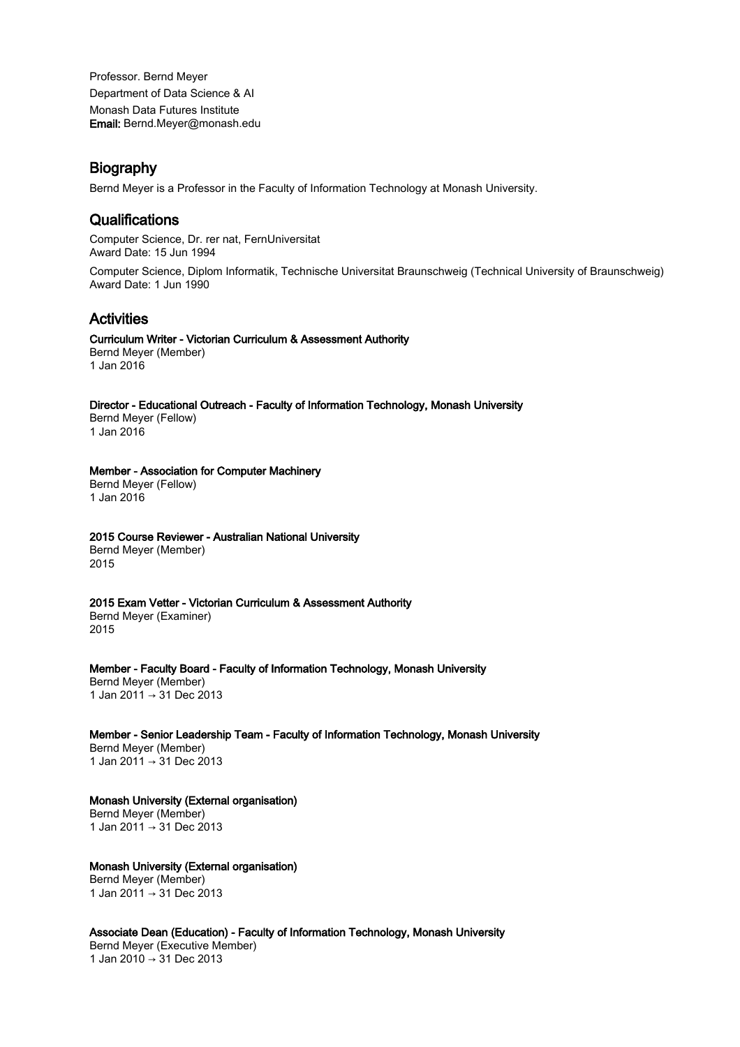Professor. Bernd Meyer Department of Data Science & AI Monash Data Futures Institute Email: Bernd.Meyer@monash.edu

## **Biography**

Bernd Meyer is a Professor in the Faculty of Information Technology at Monash University.

## **Qualifications**

Computer Science, Dr. rer nat, FernUniversitat Award Date: 15 Jun 1994

Computer Science, Diplom Informatik, Technische Universitat Braunschweig (Technical University of Braunschweig) Award Date: 1 Jun 1990

# Activities

#### Curriculum Writer - Victorian Curriculum & Assessment Authority Bernd Meyer (Member)

1 Jan 2016

## Director - Educational Outreach - Faculty of Information Technology, Monash University

Bernd Meyer (Fellow) 1 Jan 2016

Member - Association for Computer Machinery Bernd Meyer (Fellow) 1 Jan 2016

## 2015 Course Reviewer - Australian National University

Bernd Meyer (Member) 2015

2015 Exam Vetter - Victorian Curriculum & Assessment Authority

Bernd Meyer (Examiner) 2015

Member - Faculty Board - Faculty of Information Technology, Monash University Bernd Meyer (Member) 1 Jan 2011 → 31 Dec 2013

Member - Senior Leadership Team - Faculty of Information Technology, Monash University Bernd Meyer (Member) 1 Jan 2011 → 31 Dec 2013

#### Monash University (External organisation) Bernd Meyer (Member) 1 Jan 2011 → 31 Dec 2013

Monash University (External organisation) Bernd Meyer (Member) 1 Jan 2011 → 31 Dec 2013

Associate Dean (Education) - Faculty of Information Technology, Monash University Bernd Meyer (Executive Member) 1 Jan 2010 → 31 Dec 2013